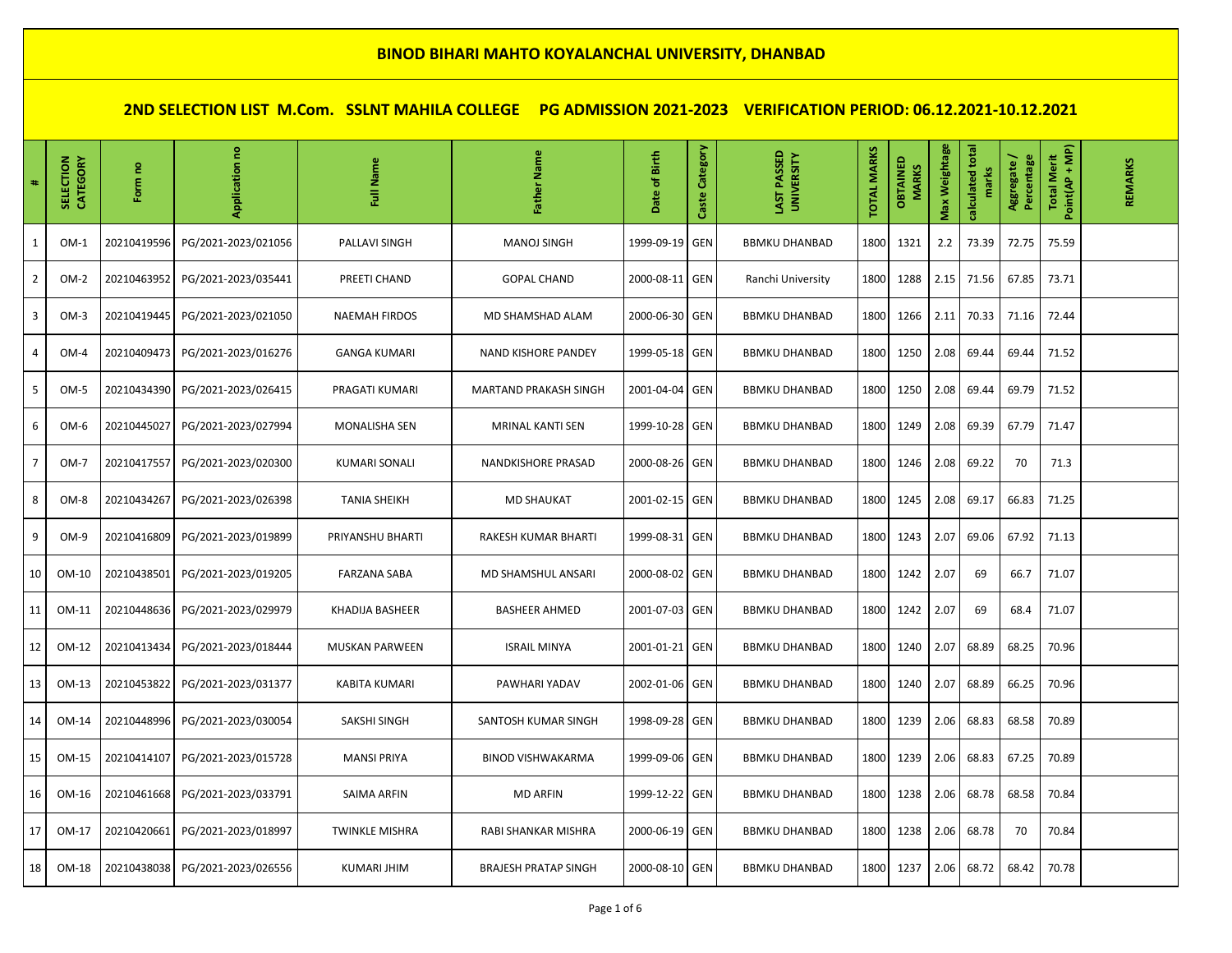| $\ddot{\textbf{a}}$ | CATEGORY<br>SELECTION | Form no     | Application         | Name<br>ã             | Name<br>ather               | Date of Birth  | Category<br>Caste | LAST PASSED<br><b>UNIVERSITY</b> | <b>TOTAL MARKS</b> | OBTAINED<br><b>MARKS</b> | Max Weightage | calculated total<br>marks | Aggregate/<br>Percentage | Point(AP + MP)<br><b>Total Merit</b> | REMARKS |
|---------------------|-----------------------|-------------|---------------------|-----------------------|-----------------------------|----------------|-------------------|----------------------------------|--------------------|--------------------------|---------------|---------------------------|--------------------------|--------------------------------------|---------|
| $\mathbf{1}$        | $OM-1$                | 20210419596 | PG/2021-2023/021056 | PALLAVI SINGH         | <b>MANOJ SINGH</b>          | 1999-09-19     | <b>GEN</b>        | <b>BBMKU DHANBAD</b>             | 1800               | 1321                     | 2.2           | 73.39                     | 72.75                    | 75.59                                |         |
| $\overline{2}$      | $OM-2$                | 20210463952 | PG/2021-2023/035441 | PREETI CHAND          | <b>GOPAL CHAND</b>          | 2000-08-11     | <b>GEN</b>        | Ranchi University                | 1800               | 1288                     | 2.15          | 71.56                     | 67.85                    | 73.71                                |         |
| $\overline{3}$      | $OM-3$                | 20210419445 | PG/2021-2023/021050 | <b>NAEMAH FIRDOS</b>  | MD SHAMSHAD ALAM            | 2000-06-30     | GEN               | <b>BBMKU DHANBAD</b>             | 1800               | 1266                     | 2.11          | 70.33                     | 71.16                    | 72.44                                |         |
| 4                   | $OM-4$                | 20210409473 | PG/2021-2023/016276 | <b>GANGA KUMARI</b>   | <b>NAND KISHORE PANDEY</b>  | 1999-05-18     | <b>GEN</b>        | <b>BBMKU DHANBAD</b>             | 1800               | 1250                     | 2.08          | 69.44                     | 69.44                    | 71.52                                |         |
| 5                   | $OM-5$                | 20210434390 | PG/2021-2023/026415 | PRAGATI KUMARI        | MARTAND PRAKASH SINGH       | 2001-04-04     | GEN               | <b>BBMKU DHANBAD</b>             | 1800               | 1250                     | 2.08          | 69.44                     | 69.79                    | 71.52                                |         |
| 6                   | OM-6                  | 20210445027 | PG/2021-2023/027994 | <b>MONALISHA SEN</b>  | MRINAL KANTI SEN            | 1999-10-28     | <b>GEN</b>        | <b>BBMKU DHANBAD</b>             | 1800               | 1249                     | 2.08          | 69.39                     | 67.79                    | 71.47                                |         |
| $\overline{7}$      | $OM-7$                | 20210417557 | PG/2021-2023/020300 | <b>KUMARI SONALI</b>  | NANDKISHORE PRASAD          | 2000-08-26     | <b>GEN</b>        | <b>BBMKU DHANBAD</b>             | 1800               | 1246                     | 2.08          | 69.22                     | 70                       | 71.3                                 |         |
| 8                   | $OM-8$                | 20210434267 | PG/2021-2023/026398 | <b>TANIA SHEIKH</b>   | <b>MD SHAUKAT</b>           | 2001-02-15 GEN |                   | <b>BBMKU DHANBAD</b>             | 1800               | 1245                     | 2.08          | 69.17                     | 66.83                    | 71.25                                |         |
| 9                   | OM-9                  | 20210416809 | PG/2021-2023/019899 | PRIYANSHU BHARTI      | RAKESH KUMAR BHARTI         | 1999-08-31     | <b>GEN</b>        | <b>BBMKU DHANBAD</b>             | 1800               | 1243                     | 2.07          | 69.06                     | 67.92                    | 71.13                                |         |
| 10                  | OM-10                 | 20210438501 | PG/2021-2023/019205 | <b>FARZANA SABA</b>   | MD SHAMSHUL ANSARI          | 2000-08-02     | <b>GEN</b>        | <b>BBMKU DHANBAD</b>             | 1800               | 1242                     | 2.07          | 69                        | 66.7                     | 71.07                                |         |
| 11                  | OM-11                 | 20210448636 | PG/2021-2023/029979 | KHADIJA BASHEER       | <b>BASHEER AHMED</b>        | 2001-07-03     | <b>GEN</b>        | <b>BBMKU DHANBAD</b>             | 1800               | 1242                     | 2.07          | 69                        | 68.4                     | 71.07                                |         |
| 12                  | OM-12                 | 20210413434 | PG/2021-2023/018444 | <b>MUSKAN PARWEEN</b> | <b>ISRAIL MINYA</b>         | 2001-01-21     | <b>GEN</b>        | <b>BBMKU DHANBAD</b>             | 1800               | 1240                     | 2.07          | 68.89                     | 68.25                    | 70.96                                |         |
| 13                  | OM-13                 | 20210453822 | PG/2021-2023/031377 | <b>KABITA KUMARI</b>  | PAWHARI YADAV               | 2002-01-06     | <b>GEN</b>        | <b>BBMKU DHANBAD</b>             | 1800               | 1240                     | 2.07          | 68.89                     | 66.25                    | 70.96                                |         |
| 14                  | OM-14                 | 20210448996 | PG/2021-2023/030054 | SAKSHI SINGH          | SANTOSH KUMAR SINGH         | 1998-09-28     | <b>GEN</b>        | <b>BBMKU DHANBAD</b>             | 1800               | 1239                     | 2.06          | 68.83                     | 68.58                    | 70.89                                |         |
| 15                  | OM-15                 | 20210414107 | PG/2021-2023/015728 | <b>MANSI PRIYA</b>    | <b>BINOD VISHWAKARMA</b>    | 1999-09-06     | <b>GEN</b>        | <b>BBMKU DHANBAD</b>             | 1800               | 1239                     | 2.06          | 68.83                     | 67.25                    | 70.89                                |         |
| 16                  | OM-16                 | 20210461668 | PG/2021-2023/033791 | <b>SAIMA ARFIN</b>    | <b>MD ARFIN</b>             | 1999-12-22     | <b>GEN</b>        | <b>BBMKU DHANBAD</b>             | 1800               | 1238                     | 2.06          | 68.78                     | 68.58                    | 70.84                                |         |
| 17                  | OM-17                 | 20210420661 | PG/2021-2023/018997 | <b>TWINKLE MISHRA</b> | RABI SHANKAR MISHRA         | 2000-06-19 GEN |                   | <b>BBMKU DHANBAD</b>             | 1800               | 1238                     | 2.06          | 68.78                     | 70                       | 70.84                                |         |
| 18                  | OM-18                 | 20210438038 | PG/2021-2023/026556 | <b>KUMARI JHIM</b>    | <b>BRAJESH PRATAP SINGH</b> | 2000-08-10 GEN |                   | <b>BBMKU DHANBAD</b>             | 1800               | 1237                     | 2.06          | 68.72                     | 68.42                    | 70.78                                |         |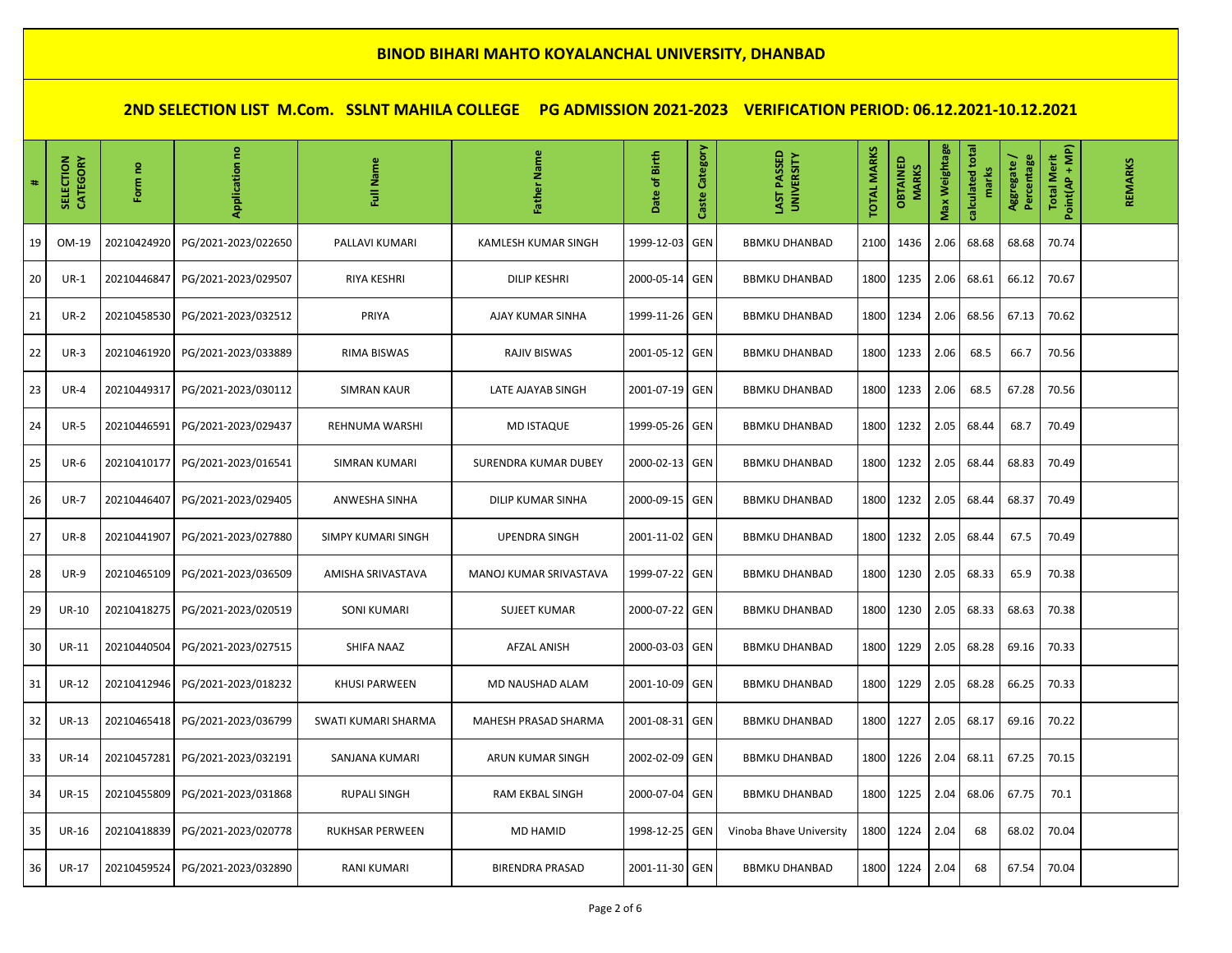| $\#$ | <b>SELECTION</b><br>CATEGORY | Form no     | Application         | Name<br>Ē                 | Name<br><b>Father</b>       | Date of Birth  | Category<br>Caste | LAST PASSED<br><b>UNIVERSITY</b> | <b>TOTAL MARKS</b> | OBTAINED<br><b>MARKS</b> | Max Weightage | calculated total<br>marks | Aggregate /<br>Percentage | Point(AP + MP)<br><b>Total Merit</b> | REMARKS |
|------|------------------------------|-------------|---------------------|---------------------------|-----------------------------|----------------|-------------------|----------------------------------|--------------------|--------------------------|---------------|---------------------------|---------------------------|--------------------------------------|---------|
| 19   | OM-19                        | 20210424920 | PG/2021-2023/022650 | PALLAVI KUMARI            | KAMLESH KUMAR SINGH         | 1999-12-03     | <b>GEN</b>        | <b>BBMKU DHANBAD</b>             | 2100               | 1436                     | 2.06          | 68.68                     | 68.68                     | 70.74                                |         |
| 20   | $UR-1$                       | 20210446847 | PG/2021-2023/029507 | RIYA KESHRI               | <b>DILIP KESHRI</b>         | 2000-05-14 GEN |                   | <b>BBMKU DHANBAD</b>             | 1800               | 1235                     | 2.06          | 68.61                     | 66.12                     | 70.67                                |         |
| 21   | $UR-2$                       | 20210458530 | PG/2021-2023/032512 | PRIYA                     | AJAY KUMAR SINHA            | 1999-11-26 GEN |                   | <b>BBMKU DHANBAD</b>             | 1800               | 1234                     | 2.06          | 68.56                     | 67.13                     | 70.62                                |         |
| 22   | $UR-3$                       | 20210461920 | PG/2021-2023/033889 | <b>RIMA BISWAS</b>        | <b>RAJIV BISWAS</b>         | 2001-05-12 GEN |                   | <b>BBMKU DHANBAD</b>             | 1800               | 1233                     | 2.06          | 68.5                      | 66.7                      | 70.56                                |         |
| 23   | $UR-4$                       | 20210449317 | PG/2021-2023/030112 | <b>SIMRAN KAUR</b>        | LATE AJAYAB SINGH           | 2001-07-19 GEN |                   | <b>BBMKU DHANBAD</b>             | 1800               | 1233                     | 2.06          | 68.5                      | 67.28                     | 70.56                                |         |
| 24   | <b>UR-5</b>                  | 20210446591 | PG/2021-2023/029437 | REHNUMA WARSHI            | <b>MD ISTAQUE</b>           | 1999-05-26 GEN |                   | <b>BBMKU DHANBAD</b>             | 1800               | 1232                     | 2.05          | 68.44                     | 68.7                      | 70.49                                |         |
| 25   | <b>UR-6</b>                  | 20210410177 | PG/2021-2023/016541 | <b>SIMRAN KUMARI</b>      | <b>SURENDRA KUMAR DUBEY</b> | 2000-02-13 GEN |                   | <b>BBMKU DHANBAD</b>             | 1800               | 1232                     | 2.05          | 68.44                     | 68.83                     | 70.49                                |         |
| 26   | $UR-7$                       | 20210446407 | PG/2021-2023/029405 | <b>ANWESHA SINHA</b>      | DILIP KUMAR SINHA           | 2000-09-15 GEN |                   | <b>BBMKU DHANBAD</b>             | 1800               | 1232                     | 2.05          | 68.44                     | 68.37                     | 70.49                                |         |
| 27   | <b>UR-8</b>                  | 20210441907 | PG/2021-2023/027880 | <b>SIMPY KUMARI SINGH</b> | <b>UPENDRA SINGH</b>        | 2001-11-02 GEN |                   | <b>BBMKU DHANBAD</b>             | 1800               | 1232                     | 2.05          | 68.44                     | 67.5                      | 70.49                                |         |
| 28   | <b>UR-9</b>                  | 20210465109 | PG/2021-2023/036509 | AMISHA SRIVASTAVA         | MANOJ KUMAR SRIVASTAVA      | 1999-07-22 GEN |                   | <b>BBMKU DHANBAD</b>             | 1800               | 1230                     | 2.05          | 68.33                     | 65.9                      | 70.38                                |         |
| 29   | <b>UR-10</b>                 | 20210418275 | PG/2021-2023/020519 | <b>SONI KUMARI</b>        | <b>SUJEET KUMAR</b>         | 2000-07-22 GEN |                   | <b>BBMKU DHANBAD</b>             | 1800               | 1230                     | 2.05          | 68.33                     | 68.63                     | 70.38                                |         |
| 30   | <b>UR-11</b>                 | 20210440504 | PG/2021-2023/027515 | SHIFA NAAZ                | <b>AFZAL ANISH</b>          | 2000-03-03 GEN |                   | <b>BBMKU DHANBAD</b>             | 1800               | 1229                     | 2.05          | 68.28                     | 69.16                     | 70.33                                |         |
| 31   | <b>UR-12</b>                 | 20210412946 | PG/2021-2023/018232 | <b>KHUSI PARWEEN</b>      | MD NAUSHAD ALAM             | 2001-10-09 GEN |                   | <b>BBMKU DHANBAD</b>             | 1800               | 1229                     | 2.05          | 68.28                     | 66.25                     | 70.33                                |         |
| 32   | <b>UR-13</b>                 | 20210465418 | PG/2021-2023/036799 | SWATI KUMARI SHARMA       | MAHESH PRASAD SHARMA        | 2001-08-31 GEN |                   | <b>BBMKU DHANBAD</b>             | 1800               | 1227                     | 2.05          | 68.17                     | 69.16                     | 70.22                                |         |
| 33   | <b>UR-14</b>                 | 20210457281 | PG/2021-2023/032191 | SANJANA KUMARI            | ARUN KUMAR SINGH            | 2002-02-09 GEN |                   | <b>BBMKU DHANBAD</b>             | 1800               | 1226                     | 2.04          | 68.11                     | 67.25                     | 70.15                                |         |
| 34   | <b>UR-15</b>                 | 20210455809 | PG/2021-2023/031868 | <b>RUPALI SINGH</b>       | <b>RAM EKBAL SINGH</b>      | 2000-07-04 GEN |                   | <b>BBMKU DHANBAD</b>             | 1800               | 1225                     | 2.04          | 68.06                     | 67.75                     | 70.1                                 |         |
| 35   | <b>UR-16</b>                 | 20210418839 | PG/2021-2023/020778 | <b>RUKHSAR PERWEEN</b>    | <b>MD HAMID</b>             | 1998-12-25 GEN |                   | Vinoba Bhave University          | 1800               | 1224                     | 2.04          | 68                        | 68.02                     | 70.04                                |         |
| 36   | <b>UR-17</b>                 | 20210459524 | PG/2021-2023/032890 | <b>RANI KUMARI</b>        | <b>BIRENDRA PRASAD</b>      | 2001-11-30 GEN |                   | <b>BBMKU DHANBAD</b>             | 1800               | 1224                     | 2.04          | 68                        | 67.54                     | 70.04                                |         |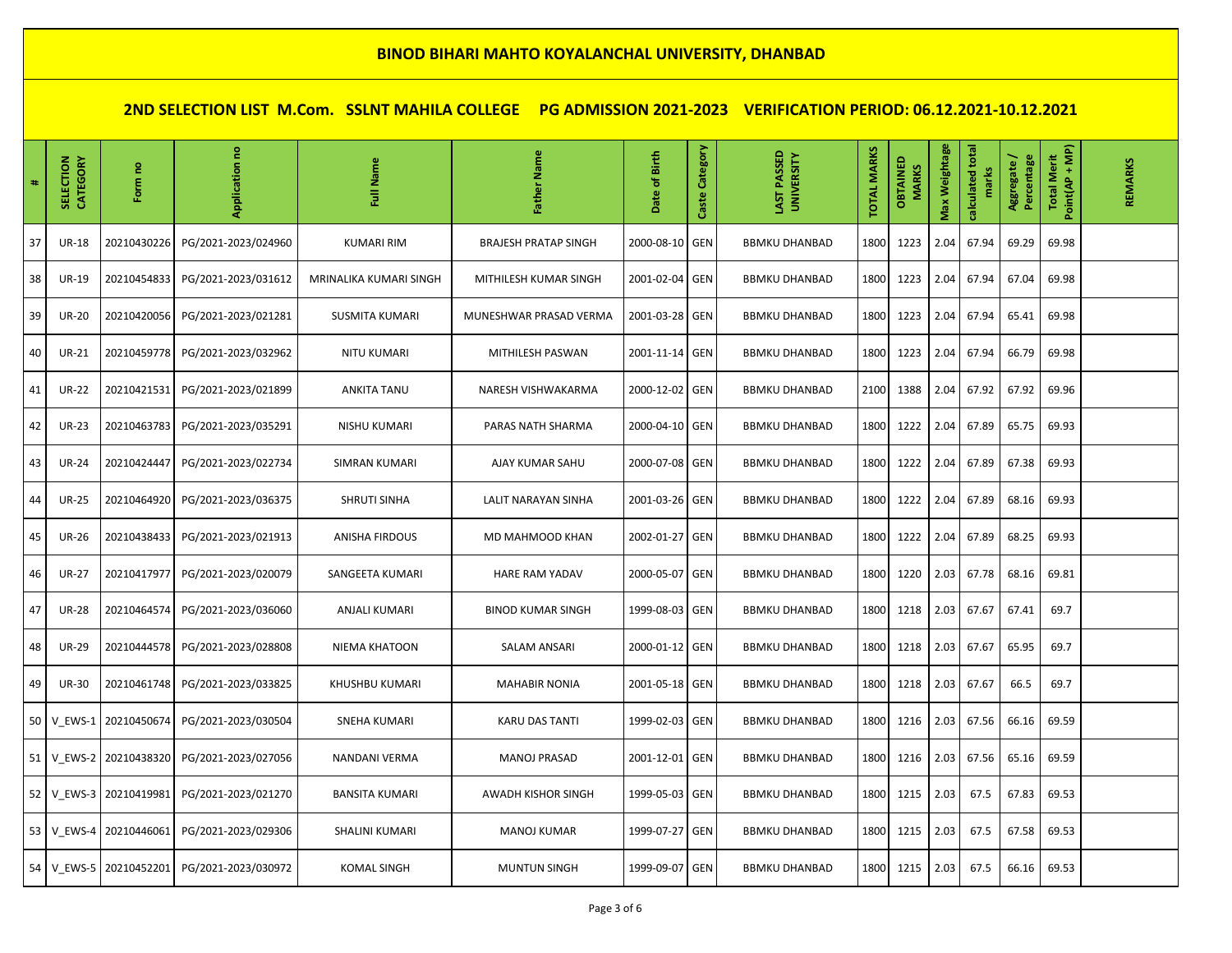| #  | CATEGORY<br><b>SELECTION</b> | g<br>Form             | Application no      | Full Name              | Father Name                 | of Birth<br><b>Date</b> | Category<br>Caste | LAST PASSED<br><b>UNIVERSITY</b> | <b>TOTAL MARKS</b> | OBTAINED<br><b>MARKS</b> | Max Weightage | calculated total<br>marks | Percentage<br>Aggregate / | Point(AP + MP)<br><b>Total Merit</b> | REMARKS |
|----|------------------------------|-----------------------|---------------------|------------------------|-----------------------------|-------------------------|-------------------|----------------------------------|--------------------|--------------------------|---------------|---------------------------|---------------------------|--------------------------------------|---------|
| 37 | <b>UR-18</b>                 | 20210430226           | PG/2021-2023/024960 | <b>KUMARI RIM</b>      | <b>BRAJESH PRATAP SINGH</b> | 2000-08-10              | <b>GEN</b>        | <b>BBMKU DHANBAD</b>             | 1800               | 1223                     | 2.04          | 67.94                     | 69.29                     | 69.98                                |         |
| 38 | <b>UR-19</b>                 | 20210454833           | PG/2021-2023/031612 | MRINALIKA KUMARI SINGH | MITHILESH KUMAR SINGH       | 2001-02-04 GEN          |                   | <b>BBMKU DHANBAD</b>             | 1800               | 1223                     | 2.04          | 67.94                     | 67.04                     | 69.98                                |         |
| 39 | <b>UR-20</b>                 | 20210420056           | PG/2021-2023/021281 | <b>SUSMITA KUMARI</b>  | MUNESHWAR PRASAD VERMA      | 2001-03-28 GEN          |                   | <b>BBMKU DHANBAD</b>             | 1800               | 1223                     | 2.04          | 67.94                     | 65.41                     | 69.98                                |         |
| 40 | <b>UR-21</b>                 | 20210459778           | PG/2021-2023/032962 | <b>NITU KUMARI</b>     | MITHILESH PASWAN            | 2001-11-14              | <b>GEN</b>        | <b>BBMKU DHANBAD</b>             | 1800               | 1223                     | 2.04          | 67.94                     | 66.79                     | 69.98                                |         |
| 41 | <b>UR-22</b>                 | 20210421531           | PG/2021-2023/021899 | <b>ANKITA TANU</b>     | NARESH VISHWAKARMA          | 2000-12-02 GEN          |                   | <b>BBMKU DHANBAD</b>             | 2100               | 1388                     | 2.04          | 67.92                     | 67.92                     | 69.96                                |         |
| 42 | <b>UR-23</b>                 | 20210463783           | PG/2021-2023/035291 | <b>NISHU KUMARI</b>    | PARAS NATH SHARMA           | 2000-04-10 GEN          |                   | <b>BBMKU DHANBAD</b>             | 1800               | 1222                     | 2.04          | 67.89                     | 65.75                     | 69.93                                |         |
| 43 | <b>UR-24</b>                 | 20210424447           | PG/2021-2023/022734 | SIMRAN KUMARI          | AJAY KUMAR SAHU             | 2000-07-08              | <b>GEN</b>        | <b>BBMKU DHANBAD</b>             | 1800               | 1222                     | 2.04          | 67.89                     | 67.38                     | 69.93                                |         |
| 44 | <b>UR-25</b>                 | 20210464920           | PG/2021-2023/036375 | <b>SHRUTI SINHA</b>    | LALIT NARAYAN SINHA         | 2001-03-26 GEN          |                   | <b>BBMKU DHANBAD</b>             | 1800               | 1222                     | 2.04          | 67.89                     | 68.16                     | 69.93                                |         |
| 45 | <b>UR-26</b>                 | 20210438433           | PG/2021-2023/021913 | <b>ANISHA FIRDOUS</b>  | MD MAHMOOD KHAN             | 2002-01-27              | <b>GEN</b>        | <b>BBMKU DHANBAD</b>             | 1800               | 1222                     | 2.04          | 67.89                     | 68.25                     | 69.93                                |         |
| 46 | <b>UR-27</b>                 | 20210417977           | PG/2021-2023/020079 | SANGEETA KUMARI        | <b>HARE RAM YADAV</b>       | 2000-05-07              | <b>GEN</b>        | <b>BBMKU DHANBAD</b>             | 1800               | 1220                     | 2.03          | 67.78                     | 68.16                     | 69.81                                |         |
| 47 | <b>UR-28</b>                 | 20210464574           | PG/2021-2023/036060 | ANJALI KUMARI          | <b>BINOD KUMAR SINGH</b>    | 1999-08-03 GEN          |                   | <b>BBMKU DHANBAD</b>             | 1800               | 1218                     | 2.03          | 67.67                     | 67.41                     | 69.7                                 |         |
| 48 | <b>UR-29</b>                 | 20210444578           | PG/2021-2023/028808 | NIEMA KHATOON          | <b>SALAM ANSARI</b>         | 2000-01-12 GEN          |                   | <b>BBMKU DHANBAD</b>             | 1800               | 1218                     | 2.03          | 67.67                     | 65.95                     | 69.7                                 |         |
| 49 | <b>UR-30</b>                 | 20210461748           | PG/2021-2023/033825 | KHUSHBU KUMARI         | <b>MAHABIR NONIA</b>        | 2001-05-18 GEN          |                   | <b>BBMKU DHANBAD</b>             | 1800               | 1218                     | 2.03          | 67.67                     | 66.5                      | 69.7                                 |         |
| 50 | V EWS-1                      | 20210450674           | PG/2021-2023/030504 | SNEHA KUMARI           | <b>KARU DAS TANTI</b>       | 1999-02-03 GEN          |                   | <b>BBMKU DHANBAD</b>             | 1800               | 1216                     | 2.03          | 67.56                     | 66.16                     | 69.59                                |         |
| 51 |                              | V EWS-2 20210438320   | PG/2021-2023/027056 | NANDANI VERMA          | <b>MANOJ PRASAD</b>         | 2001-12-01 GEN          |                   | <b>BBMKU DHANBAD</b>             | 1800               | 1216                     | 2.03          | 67.56                     | 65.16                     | 69.59                                |         |
| 52 | V EWS-3                      | 20210419981           | PG/2021-2023/021270 | <b>BANSITA KUMARI</b>  | <b>AWADH KISHOR SINGH</b>   | 1999-05-03              | GEN               | <b>BBMKU DHANBAD</b>             | 1800               | 1215                     | 2.03          | 67.5                      | 67.83                     | 69.53                                |         |
| 53 | V EWS-4                      | 20210446061           | PG/2021-2023/029306 | SHALINI KUMARI         | <b>MANOJ KUMAR</b>          | 1999-07-27 GEN          |                   | <b>BBMKU DHANBAD</b>             | 1800               | 1215                     | 2.03          | 67.5                      | 67.58                     | 69.53                                |         |
| 54 |                              | V EWS-5   20210452201 | PG/2021-2023/030972 | <b>KOMAL SINGH</b>     | <b>MUNTUN SINGH</b>         | 1999-09-07              | <b>GEN</b>        | <b>BBMKU DHANBAD</b>             | 1800               | 1215                     | 2.03          | 67.5                      | 66.16                     | 69.53                                |         |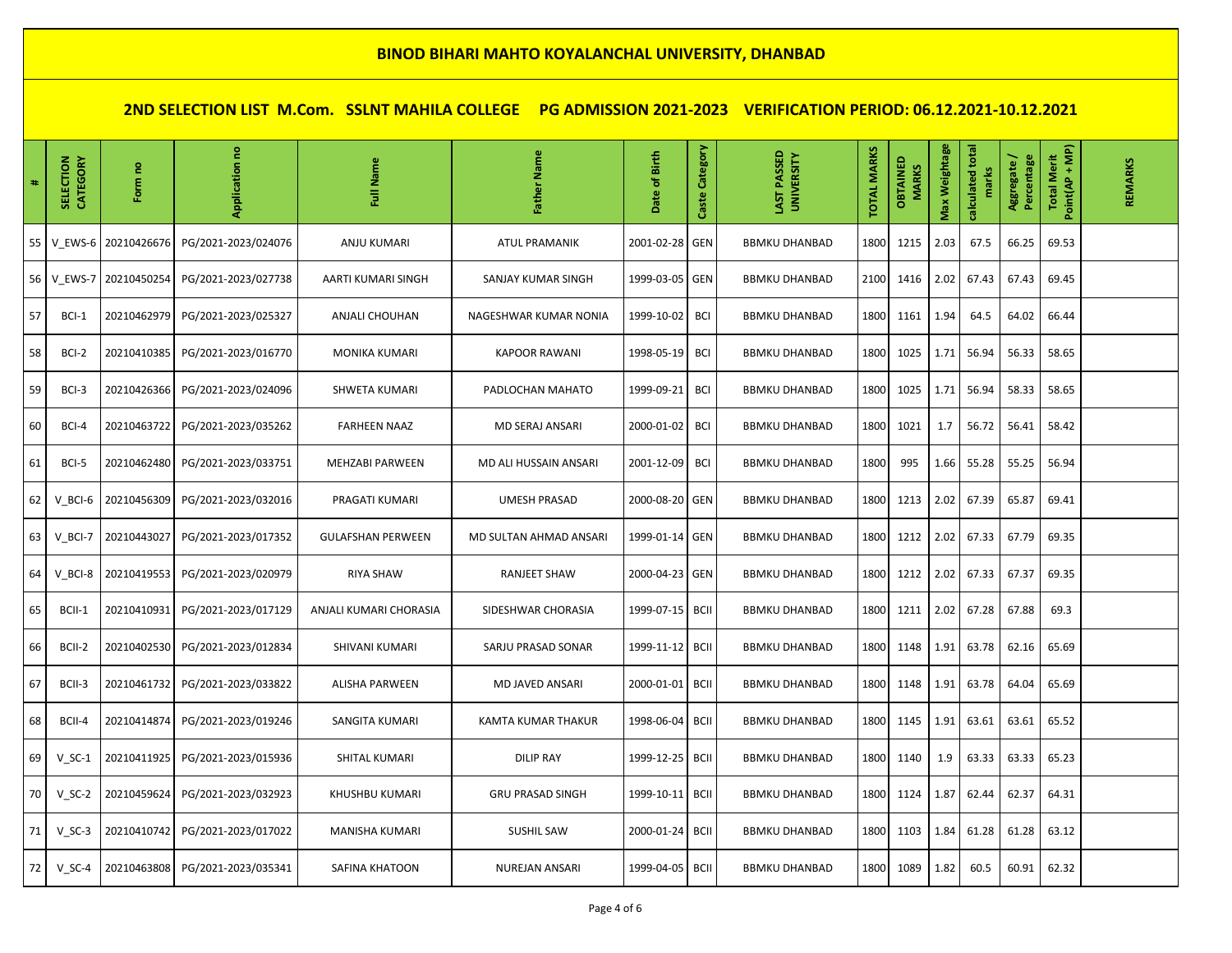| #  | SELECTION<br>CATEGORY | Form no     | g<br>Application    | Name<br>ã                | Name<br>Father          | Date of Birth   | Category<br>Caste | LAST PASSED<br><b>UNIVERSITY</b> | <b>TOTAL MARKS</b> | OBTAINED<br><b>MARKS</b> | Max Weightage | calculated total<br>marks | Aggregate /<br>Percentage | Point(AP + MP)<br><b>Total Merit</b> | REMARKS |
|----|-----------------------|-------------|---------------------|--------------------------|-------------------------|-----------------|-------------------|----------------------------------|--------------------|--------------------------|---------------|---------------------------|---------------------------|--------------------------------------|---------|
| 55 | V_EWS-6               | 20210426676 | PG/2021-2023/024076 | <b>ANJU KUMARI</b>       | <b>ATUL PRAMANIK</b>    | 2001-02-28      | GEN               | <b>BBMKU DHANBAD</b>             | 1800               | 1215                     | 2.03          | 67.5                      | 66.25                     | 69.53                                |         |
| 56 | V_EWS-7               | 20210450254 | PG/2021-2023/027738 | AARTI KUMARI SINGH       | SANJAY KUMAR SINGH      | 1999-03-05 GEN  |                   | <b>BBMKU DHANBAD</b>             | 2100               | 1416                     | 2.02          | 67.43                     | 67.43                     | 69.45                                |         |
| 57 | BCI-1                 | 20210462979 | PG/2021-2023/025327 | ANJALI CHOUHAN           | NAGESHWAR KUMAR NONIA   | 1999-10-02      | BCI               | <b>BBMKU DHANBAD</b>             | 1800               | 1161                     | 1.94          | 64.5                      | 64.02                     | 66.44                                |         |
| 58 | BCI-2                 | 20210410385 | PG/2021-2023/016770 | <b>MONIKA KUMARI</b>     | <b>KAPOOR RAWANI</b>    | 1998-05-19      | <b>BCI</b>        | <b>BBMKU DHANBAD</b>             | 1800               | 1025                     | 1.71          | 56.94                     | 56.33                     | 58.65                                |         |
| 59 | BCI-3                 | 20210426366 | PG/2021-2023/024096 | SHWETA KUMARI            | PADLOCHAN MAHATO        | 1999-09-21      | <b>BCI</b>        | <b>BBMKU DHANBAD</b>             | 1800               | 1025                     | 1.71          | 56.94                     | 58.33                     | 58.65                                |         |
| 60 | BCI-4                 | 20210463722 | PG/2021-2023/035262 | <b>FARHEEN NAAZ</b>      | MD SERAJ ANSARI         | 2000-01-02      | BCI               | <b>BBMKU DHANBAD</b>             | 1800               | 1021                     | 1.7           | 56.72                     | 56.41                     | 58.42                                |         |
| 61 | BCI-5                 | 20210462480 | PG/2021-2023/033751 | <b>MEHZABI PARWEEN</b>   | MD ALI HUSSAIN ANSARI   | 2001-12-09      | <b>BCI</b>        | <b>BBMKU DHANBAD</b>             | 1800               | 995                      | 1.66          | 55.28                     | 55.25                     | 56.94                                |         |
| 62 | V BCI-6               | 20210456309 | PG/2021-2023/032016 | PRAGATI KUMARI           | <b>UMESH PRASAD</b>     | 2000-08-20 GEN  |                   | <b>BBMKU DHANBAD</b>             | 1800               | 1213                     | 2.02          | 67.39                     | 65.87                     | 69.41                                |         |
| 63 | V BCI-7               | 20210443027 | PG/2021-2023/017352 | <b>GULAFSHAN PERWEEN</b> | MD SULTAN AHMAD ANSARI  | 1999-01-14 GEN  |                   | <b>BBMKU DHANBAD</b>             | 1800               | 1212                     | 2.02          | 67.33                     | 67.79                     | 69.35                                |         |
| 64 | V BCI-8               | 20210419553 | PG/2021-2023/020979 | <b>RIYA SHAW</b>         | RANJEET SHAW            | 2000-04-23 GEN  |                   | <b>BBMKU DHANBAD</b>             | 1800               | 1212                     | 2.02          | 67.33                     | 67.37                     | 69.35                                |         |
| 65 | BCII-1                | 20210410931 | PG/2021-2023/017129 | ANJALI KUMARI CHORASIA   | SIDESHWAR CHORASIA      | 1999-07-15 BCII |                   | <b>BBMKU DHANBAD</b>             | 1800               | 1211                     | 2.02          | 67.28                     | 67.88                     | 69.3                                 |         |
| 66 | BCII-2                | 20210402530 | PG/2021-2023/012834 | SHIVANI KUMARI           | SARJU PRASAD SONAR      | 1999-11-12      | <b>BCII</b>       | <b>BBMKU DHANBAD</b>             | 1800               | 1148                     | 1.91          | 63.78                     | 62.16                     | 65.69                                |         |
| 67 | BCII-3                | 20210461732 | PG/2021-2023/033822 | <b>ALISHA PARWEEN</b>    | <b>MD JAVED ANSARI</b>  | 2000-01-01      | <b>BCII</b>       | <b>BBMKU DHANBAD</b>             | 1800               | 1148                     | 1.91          | 63.78                     | 64.04                     | 65.69                                |         |
| 68 | BCII-4                | 20210414874 | PG/2021-2023/019246 | SANGITA KUMARI           | KAMTA KUMAR THAKUR      | 1998-06-04      | <b>BCII</b>       | <b>BBMKU DHANBAD</b>             | 1800               | 1145                     | 1.91          | 63.61                     | 63.61                     | 65.52                                |         |
| 69 | $V_SC-1$              | 20210411925 | PG/2021-2023/015936 | SHITAL KUMARI            | <b>DILIP RAY</b>        | 1999-12-25      | <b>BCII</b>       | <b>BBMKU DHANBAD</b>             | 1800               | 1140                     | 1.9           | 63.33                     | 63.33                     | 65.23                                |         |
| 70 | $V_SC-2$              | 20210459624 | PG/2021-2023/032923 | KHUSHBU KUMARI           | <b>GRU PRASAD SINGH</b> | 1999-10-11      | <b>BCII</b>       | <b>BBMKU DHANBAD</b>             | 1800               | 1124                     | 1.87          | 62.44                     | 62.37                     | 64.31                                |         |
| 71 | $V_SC-3$              | 20210410742 | PG/2021-2023/017022 | MANISHA KUMARI           | <b>SUSHIL SAW</b>       | 2000-01-24      | <b>BCII</b>       | <b>BBMKU DHANBAD</b>             | 1800               | 1103                     | 1.84          | 61.28                     | 61.28                     | 63.12                                |         |
| 72 | $V_SC-4$              | 20210463808 | PG/2021-2023/035341 | SAFINA KHATOON           | NUREJAN ANSARI          | 1999-04-05      | <b>BCII</b>       | <b>BBMKU DHANBAD</b>             | 1800               | 1089                     | 1.82          | 60.5                      | 60.91                     | 62.32                                |         |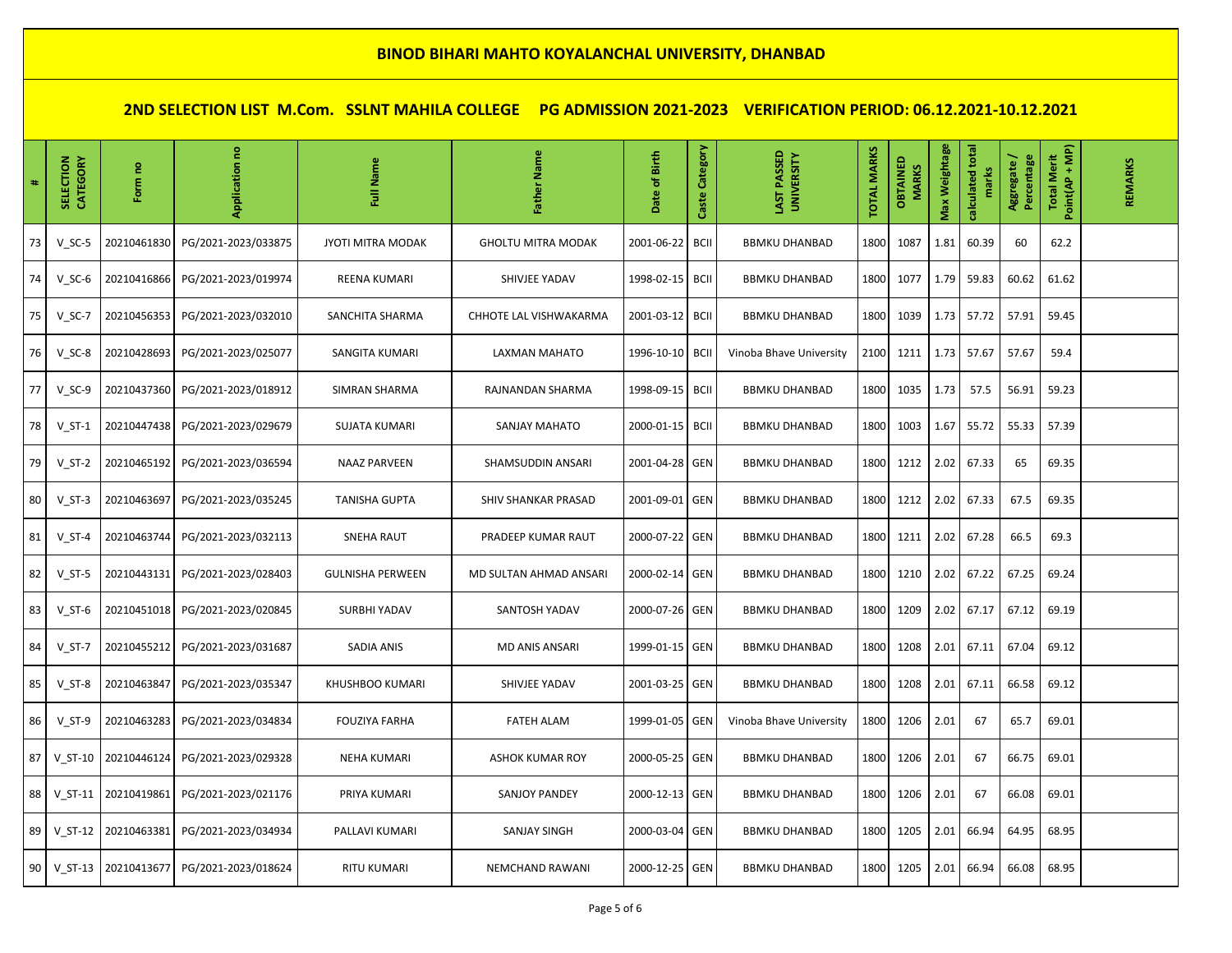| #  | SELECTION<br>CATEGORY | Form no     | g<br>Application    | Name<br>ã                | Name<br>Father            | Date of Birth   | Category<br>Caste | LAST PASSED<br><b>UNIVERSITY</b> | <b>TOTAL MARKS</b> | OBTAINED<br><b>MARKS</b> | Max Weightage | calculated total<br>marks | Aggregate /<br>Percentage | Point(AP + MP)<br><b>Total Merit</b> | REMARKS |
|----|-----------------------|-------------|---------------------|--------------------------|---------------------------|-----------------|-------------------|----------------------------------|--------------------|--------------------------|---------------|---------------------------|---------------------------|--------------------------------------|---------|
| 73 | $V_SC-5$              | 20210461830 | PG/2021-2023/033875 | <b>JYOTI MITRA MODAK</b> | <b>GHOLTU MITRA MODAK</b> | 2001-06-22      | <b>BCII</b>       | <b>BBMKU DHANBAD</b>             | 1800               | 1087                     | 1.81          | 60.39                     | 60                        | 62.2                                 |         |
| 74 | $V_SC-6$              | 20210416866 | PG/2021-2023/019974 | REENA KUMARI             | SHIVJEE YADAV             | 1998-02-15      | <b>BCII</b>       | <b>BBMKU DHANBAD</b>             | 1800               | 1077                     | 1.79          | 59.83                     | 60.62                     | 61.62                                |         |
| 75 | $V_SC-7$              | 20210456353 | PG/2021-2023/032010 | SANCHITA SHARMA          | CHHOTE LAL VISHWAKARMA    | 2001-03-12      | <b>BCII</b>       | <b>BBMKU DHANBAD</b>             | 1800               | 1039                     | 1.73          | 57.72                     | 57.91                     | 59.45                                |         |
| 76 | $V_SC-8$              | 20210428693 | PG/2021-2023/025077 | SANGITA KUMARI           | LAXMAN MAHATO             | 1996-10-10      | <b>BCII</b>       | Vinoba Bhave University          | 2100               | 1211                     | 1.73          | 57.67                     | 57.67                     | 59.4                                 |         |
| 77 | $V_SC-9$              | 20210437360 | PG/2021-2023/018912 | SIMRAN SHARMA            | RAJNANDAN SHARMA          | 1998-09-15 BCII |                   | <b>BBMKU DHANBAD</b>             | 1800               | 1035                     | 1.73          | 57.5                      | 56.91                     | 59.23                                |         |
| 78 | $V_S$ T-1             | 20210447438 | PG/2021-2023/029679 | <b>SUJATA KUMARI</b>     | <b>SANJAY MAHATO</b>      | 2000-01-15      | <b>BCII</b>       | <b>BBMKU DHANBAD</b>             | 1800               | 1003                     | 1.67          | 55.72                     | 55.33                     | 57.39                                |         |
| 79 | $V_S$ T-2             | 20210465192 | PG/2021-2023/036594 | <b>NAAZ PARVEEN</b>      | SHAMSUDDIN ANSARI         | 2001-04-28 GEN  |                   | <b>BBMKU DHANBAD</b>             | 1800               | 1212                     | 2.02          | 67.33                     | 65                        | 69.35                                |         |
| 80 | $V_S$ T-3             | 20210463697 | PG/2021-2023/035245 | <b>TANISHA GUPTA</b>     | SHIV SHANKAR PRASAD       | 2001-09-01 GEN  |                   | <b>BBMKU DHANBAD</b>             | 1800               | 1212                     | 2.02          | 67.33                     | 67.5                      | 69.35                                |         |
| 81 | $V_S$ T-4             | 20210463744 | PG/2021-2023/032113 | <b>SNEHA RAUT</b>        | PRADEEP KUMAR RAUT        | 2000-07-22 GEN  |                   | <b>BBMKU DHANBAD</b>             | 1800               | 1211                     | 2.02          | 67.28                     | 66.5                      | 69.3                                 |         |
| 82 | $V_S$ T-5             | 20210443131 | PG/2021-2023/028403 | <b>GULNISHA PERWEEN</b>  | MD SULTAN AHMAD ANSARI    | 2000-02-14      | GEN               | <b>BBMKU DHANBAD</b>             | 1800               | 1210                     | 2.02          | 67.22                     | 67.25                     | 69.24                                |         |
| 83 | $V_S$ T-6             | 20210451018 | PG/2021-2023/020845 | <b>SURBHI YADAV</b>      | SANTOSH YADAV             | 2000-07-26 GEN  |                   | <b>BBMKU DHANBAD</b>             | 1800               | 1209                     | 2.02          | 67.17                     | 67.12                     | 69.19                                |         |
| 84 | $V_S$ T-7             | 20210455212 | PG/2021-2023/031687 | SADIA ANIS               | <b>MD ANIS ANSARI</b>     | 1999-01-15 GEN  |                   | <b>BBMKU DHANBAD</b>             | 1800               | 1208                     | 2.01          | 67.11                     | 67.04                     | 69.12                                |         |
| 85 | $V_S$ T-8             | 20210463847 | PG/2021-2023/035347 | <b>KHUSHBOO KUMARI</b>   | SHIVJEE YADAV             | 2001-03-25 GEN  |                   | <b>BBMKU DHANBAD</b>             | 1800               | 1208                     | 2.01          | 67.11                     | 66.58                     | 69.12                                |         |
| 86 | $V_S$ T-9             | 20210463283 | PG/2021-2023/034834 | <b>FOUZIYA FARHA</b>     | <b>FATEH ALAM</b>         | 1999-01-05      | GEN               | Vinoba Bhave University          | 1800               | 1206                     | 2.01          | 67                        | 65.7                      | 69.01                                |         |
| 87 | $V_S$ T-10            | 20210446124 | PG/2021-2023/029328 | <b>NEHA KUMARI</b>       | ASHOK KUMAR ROY           | 2000-05-25 GEN  |                   | <b>BBMKU DHANBAD</b>             | 1800               | 1206                     | 2.01          | 67                        | 66.75                     | 69.01                                |         |
| 88 | $V_S$ T-11            | 20210419861 | PG/2021-2023/021176 | PRIYA KUMARI             | <b>SANJOY PANDEY</b>      | 2000-12-13 GEN  |                   | <b>BBMKU DHANBAD</b>             | 1800               | 1206                     | 2.01          | 67                        | 66.08                     | 69.01                                |         |
| 89 | $V_S$ T-12            | 20210463381 | PG/2021-2023/034934 | PALLAVI KUMARI           | <b>SANJAY SINGH</b>       | 2000-03-04 GEN  |                   | <b>BBMKU DHANBAD</b>             | 1800               | 1205                     | 2.01          | 66.94                     | 64.95                     | 68.95                                |         |
| 90 | $V_S$ T-13            | 20210413677 | PG/2021-2023/018624 | <b>RITU KUMARI</b>       | NEMCHAND RAWANI           | 2000-12-25 GEN  |                   | <b>BBMKU DHANBAD</b>             | 1800               | 1205                     | 2.01          | 66.94                     | 66.08                     | 68.95                                |         |